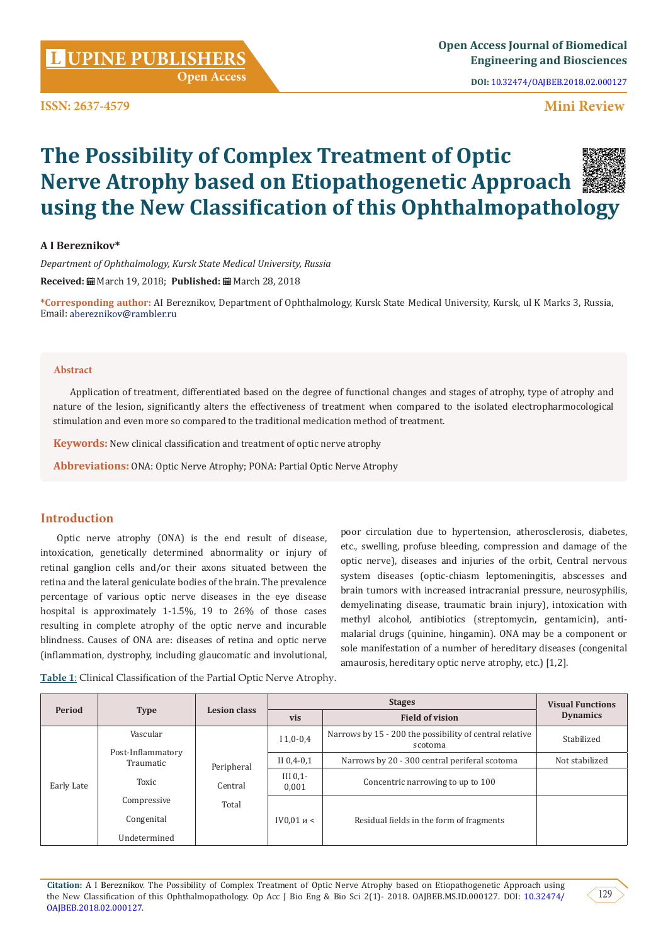**ISSN: 2637-4579**

**DOI:** [10.32474/OAJBEB.2018.02.000127](http://dx.doi.org/10.32474/OAJBEB.2018.02.000127)

# **Mini Review**

# **The Possibility of Complex Treatment of Optic Nerve Atrophy based on Etiopathogenetic Approach using the New Classification of this Ophthalmopathology**

# **A I Bereznikov\***

*Department of Ophthalmology, Kursk State Medical University, Russia* **Received:** March 19, 2018; **Published:** March 28, 2018

 **Open Access**

**\*Corresponding author:** AI Bereznikov, Department of Ophthalmology, Kursk State Medical University, Kursk, ul K Marks 3, Russia, Email: abereznikov@rambler.ru

#### **Abstract**

Application of treatment, differentiated based on the degree of functional changes and stages of atrophy, type of atrophy and nature of the lesion, significantly alters the effectiveness of treatment when compared to the isolated electropharmocological stimulation and even more so compared to the traditional medication method of treatment.

**Keywords:** New clinical classification and treatment of optic nerve atrophy

**Abbreviations:** ONA: Optic Nerve Atrophy; PONA: Partial Optic Nerve Atrophy

# **Introduction**

Optic nerve atrophy (ONA) is the end result of disease, intoxication, genetically determined abnormality or injury of retinal ganglion cells and/or their axons situated between the retina and the lateral geniculate bodies of the brain. The prevalence percentage of various optic nerve diseases in the eye disease hospital is approximately 1-1.5%, 19 to 26% of those cases resulting in complete atrophy of the optic nerve and incurable blindness. Causes of ONA are: diseases of retina and optic nerve (inflammation, dystrophy, including glaucomatic and involutional, poor circulation due to hypertension, atherosclerosis, diabetes, etc., swelling, profuse bleeding, compression and damage of the optic nerve), diseases and injuries of the orbit, Central nervous system diseases (optic-chiasm leptomeningitis, abscesses and brain tumors with increased intracranial pressure, neurosyphilis, demyelinating disease, traumatic brain injury), intoxication with methyl alcohol, antibiotics (streptomycin, gentamicin), antimalarial drugs (quinine, hingamin). ONA may be a component or sole manifestation of a number of hereditary diseases (congenital amaurosis, hereditary optic nerve atrophy, etc.) [1,2].

**Table 1**: Clinical Classification of the Partial Optic Nerve Atrophy.

| Period     | <b>Type</b>                           | <b>Lesion class</b>   |                      | <b>Visual Functions</b>                                            |                 |
|------------|---------------------------------------|-----------------------|----------------------|--------------------------------------------------------------------|-----------------|
|            |                                       |                       | vis                  | <b>Field of vision</b>                                             | <b>Dynamics</b> |
| Early Late | Vascular                              | Peripheral<br>Central | $I$ 1,0-0,4          | Narrows by 15 - 200 the possibility of central relative<br>scotoma | Stabilized      |
|            | Post-Inflammatory<br><b>Traumatic</b> |                       | II $0,4-0,1$         | Narrows by 20 - 300 central periferal scotoma                      | Not stabilized  |
|            | Toxic                                 |                       | III $0.1$ -<br>0,001 | Concentric narrowing to up to 100                                  |                 |
|            | Compressive                           | Total                 |                      |                                                                    |                 |
|            | Congenital                            |                       | IV $0.01$ и <        | Residual fields in the form of fragments                           |                 |
|            | Undetermined                          |                       |                      |                                                                    |                 |

**Citation:** A I Bereznikov. The Possibility of Complex Treatment of Optic Nerve Atrophy based on Etiopathogenetic Approach using the New Classification of this Ophthalmopathology. Op Acc J Bio Eng & Bio Sci 2(1)- 2018. OAJBEB.MS.ID.000127. DOI: [10.32474/](http://dx.doi.org/10.32474/OAJBEB.2018.02.000127
) [OAJBEB.2018.02.000127](http://dx.doi.org/10.32474/OAJBEB.2018.02.000127
).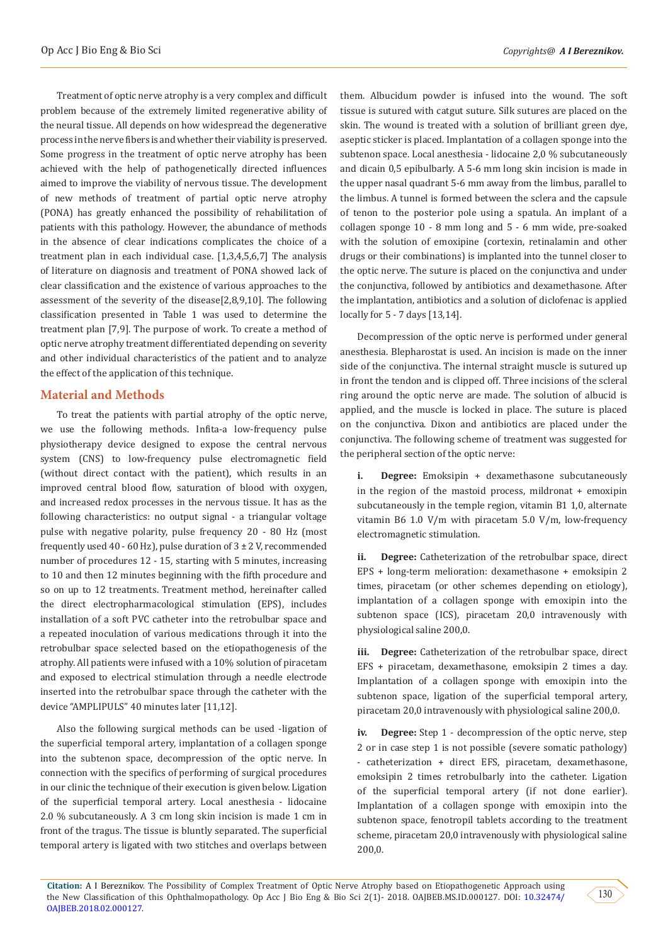Treatment of optic nerve atrophy is a very complex and difficult problem because of the extremely limited regenerative ability of the neural tissue. All depends on how widespread the degenerative process in the nerve fibers is and whether their viability is preserved. Some progress in the treatment of optic nerve atrophy has been achieved with the help of pathogenetically directed influences aimed to improve the viability of nervous tissue. The development of new methods of treatment of partial optic nerve atrophy (PONA) has greatly enhanced the possibility of rehabilitation of patients with this pathology. However, the abundance of methods in the absence of clear indications complicates the choice of a treatment plan in each individual case. [1,3,4,5,6,7] The analysis of literature on diagnosis and treatment of PONA showed lack of clear classification and the existence of various approaches to the assessment of the severity of the disease[2,8,9,10]. The following classification presented in Table 1 was used to determine the treatment plan [7,9]. The purpose of work. To create a method of optic nerve atrophy treatment differentiated depending on severity and other individual characteristics of the patient and to analyze the effect of the application of this technique.

# **Material and Methods**

To treat the patients with partial atrophy of the optic nerve, we use the following methods. Infita-a low-frequency pulse physiotherapy device designed to expose the central nervous system (CNS) to low-frequency pulse electromagnetic field (without direct contact with the patient), which results in an improved central blood flow, saturation of blood with oxygen, and increased redox processes in the nervous tissue. It has as the following characteristics: no output signal - a triangular voltage pulse with negative polarity, pulse frequency 20 - 80 Hz (most frequently used 40 - 60 Hz), pulse duration of  $3 \pm 2$  V, recommended number of procedures 12 - 15, starting with 5 minutes, increasing to 10 and then 12 minutes beginning with the fifth procedure and so on up to 12 treatments. Treatment method, hereinafter called the direct electropharmacological stimulation (EPS), includes installation of a soft PVC catheter into the retrobulbar space and a repeated inoculation of various medications through it into the retrobulbar space selected based on the etiopathogenesis of the atrophy. All patients were infused with a 10% solution of piracetam and exposed to electrical stimulation through a needle electrode inserted into the retrobulbar space through the catheter with the device "AMPLIPULS" 40 minutes later [11,12].

Also the following surgical methods can be used -ligation of the superficial temporal artery, implantation of a collagen sponge into the subtenon space, decompression of the optic nerve. In connection with the specifics of performing of surgical procedures in our clinic the technique of their execution is given below. Ligation of the superficial temporal artery. Local anesthesia - lidocaine 2.0 % subcutaneously. A 3 cm long skin incision is made 1 cm in front of the tragus. The tissue is bluntly separated. The superficial temporal artery is ligated with two stitches and overlaps between

them. Albucidum powder is infused into the wound. The soft tissue is sutured with catgut suture. Silk sutures are placed on the skin. The wound is treated with a solution of brilliant green dye, aseptic sticker is placed. Implantation of a collagen sponge into the subtenon space. Local anesthesia - lidocaine 2,0 % subcutaneously and dicain 0,5 epibulbarly. A 5-6 mm long skin incision is made in the upper nasal quadrant 5-6 mm away from the limbus, parallel to the limbus. A tunnel is formed between the sclera and the capsule of tenon to the posterior pole using a spatula. An implant of a collagen sponge 10 - 8 mm long and 5 - 6 mm wide, pre-soaked with the solution of emoxipine (cortexin, retinalamin and other drugs or their combinations) is implanted into the tunnel closer to the optic nerve. The suture is placed on the conjunctiva and under the conjunctiva, followed by antibiotics and dexamethasone. After the implantation, antibiotics and a solution of diclofenac is applied locally for 5 - 7 days [13,14].

Decompression of the optic nerve is performed under general anesthesia. Blepharostat is used. An incision is made on the inner side of the conjunctiva. The internal straight muscle is sutured up in front the tendon and is clipped off. Three incisions of the scleral ring around the optic nerve are made. The solution of albucid is applied, and the muscle is locked in place. The suture is placed on the conjunctiva. Dixon and antibiotics are placed under the conjunctiva. The following scheme of treatment was suggested for the peripheral section of the optic nerve:

**i. Degree:** Emoksipin + dexamethasone subcutaneously in the region of the mastoid process, mildronat + emoxipin subcutaneously in the temple region, vitamin B1 1,0, alternate vitamin B6 1.0 V/m with piracetam 5.0 V/m, low-frequency electromagnetic stimulation.

**ii. Degree:** Catheterization of the retrobulbar space, direct EPS + long-term melioration: dexamethasone + emoksipin 2 times, piracetam (or other schemes depending on etiology), implantation of a collagen sponge with emoxipin into the subtenon space (ICS), piracetam 20,0 intravenously with physiological saline 200,0.

**iii. Degree:** Catheterization of the retrobulbar space, direct EFS + piracetam, dexamethasone, emoksipin 2 times a day. Implantation of a collagen sponge with emoxipin into the subtenon space, ligation of the superficial temporal artery, piracetam 20,0 intravenously with physiological saline 200,0.

**Degree:** Step 1 - decompression of the optic nerve, step 2 or in case step 1 is not possible (severe somatic pathology) - catheterization + direct EFS, piracetam, dexamethasone, emoksipin 2 times retrobulbarly into the catheter. Ligation of the superficial temporal artery (if not done earlier). Implantation of a collagen sponge with emoxipin into the subtenon space, fenotropil tablets according to the treatment scheme, piracetam 20,0 intravenously with physiological saline 200,0.

**Citation:** A I Bereznikov. The Possibility of Complex Treatment of Optic Nerve Atrophy based on Etiopathogenetic Approach using the New Classification of this Ophthalmopathology. Op Acc J Bio Eng & Bio Sci 2(1)- 2018. OAJBEB.MS.ID.000127. DOI: [10.32474/](http://dx.doi.org/10.32474/OAJBEB.2018.02.000127
) [OAJBEB.2018.02.000127](http://dx.doi.org/10.32474/OAJBEB.2018.02.000127
).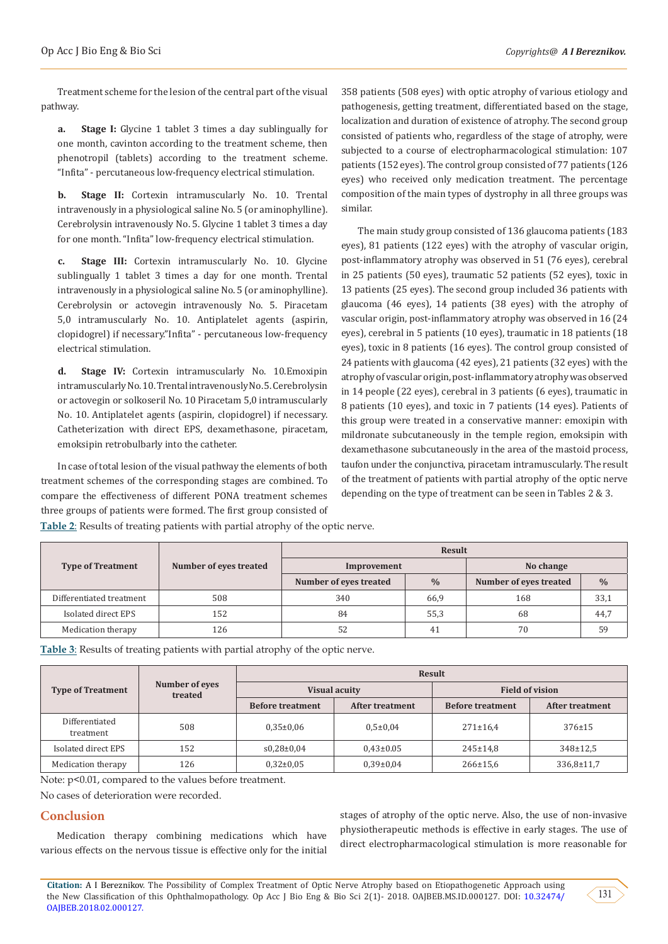Treatment scheme for the lesion of the central part of the visual pathway.

**a. Stage I:** Glycine 1 tablet 3 times a day sublingually for one month, cavinton according to the treatment scheme, then phenotropil (tablets) according to the treatment scheme. "Infita" - percutaneous low-frequency electrical stimulation.

**b. Stage II:** Cortexin intramuscularly No. 10. Trental intravenously in a physiological saline No. 5 (or aminophylline). Cerebrolysin intravenously No. 5. Glycine 1 tablet 3 times a day for one month. "Infita" low-frequency electrical stimulation.

**c. Stage III:** Cortexin intramuscularly No. 10. Glycine sublingually 1 tablet 3 times a day for one month. Trental intravenously in a physiological saline No. 5 (or aminophylline). Cerebrolysin or actovegin intravenously No. 5. Piracetam 5,0 intramuscularly No. 10. Antiplatelet agents (aspirin, clopidogrel) if necessary."Infita" - percutaneous low-frequency electrical stimulation.

**d. Stage IV:** Cortexin intramuscularly No. 10.Emoxipin intramuscularly No. 10. Trental intravenously No. 5. Cerebrolysin or actovegin or solkoseril No. 10 Piracetam 5,0 intramuscularly No. 10. Antiplatelet agents (aspirin, clopidogrel) if necessary. Catheterization with direct EPS, dexamethasone, piracetam, emoksipin retrobulbarly into the catheter.

In case of total lesion of the visual pathway the elements of both treatment schemes of the corresponding stages are combined. To compare the effectiveness of different PONA treatment schemes three groups of patients were formed. The first group consisted of 358 patients (508 eyes) with optic atrophy of various etiology and pathogenesis, getting treatment, differentiated based on the stage, localization and duration of existence of atrophy. The second group consisted of patients who, regardless of the stage of atrophy, were subjected to a course of electropharmacological stimulation: 107 patients (152 eyes). The control group consisted of 77 patients (126 eyes) who received only medication treatment. The percentage composition of the main types of dystrophy in all three groups was similar.

The main study group consisted of 136 glaucoma patients (183 eyes), 81 patients (122 eyes) with the atrophy of vascular origin, post-inflammatory atrophy was observed in 51 (76 eyes), cerebral in 25 patients (50 eyes), traumatic 52 patients (52 eyes), toxic in 13 patients (25 eyes). The second group included 36 patients with glaucoma (46 eyes), 14 patients (38 eyes) with the atrophy of vascular origin, post-inflammatory atrophy was observed in 16 (24 eyes), cerebral in 5 patients (10 eyes), traumatic in 18 patients (18 eyes), toxic in 8 patients (16 eyes). The control group consisted of 24 patients with glaucoma (42 eyes), 21 patients (32 eyes) with the atrophy of vascular origin, post-inflammatory atrophy was observed in 14 people (22 eyes), cerebral in 3 patients (6 eyes), traumatic in 8 patients (10 eyes), and toxic in 7 patients (14 eyes). Patients of this group were treated in a conservative manner: emoxipin with mildronate subcutaneously in the temple region, emoksipin with dexamethasone subcutaneously in the area of the mastoid process, taufon under the conjunctiva, piracetam intramuscularly. The result of the treatment of patients with partial atrophy of the optic nerve depending on the type of treatment can be seen in Tables 2 & 3.

**Table 2**: Results of treating patients with partial atrophy of the optic nerve.

|                          |                        | <b>Result</b>          |               |                        |               |  |  |
|--------------------------|------------------------|------------------------|---------------|------------------------|---------------|--|--|
| <b>Type of Treatment</b> | Number of eyes treated | Improvement            |               | No change              |               |  |  |
|                          |                        | Number of eyes treated | $\frac{0}{0}$ | Number of eyes treated | $\frac{0}{0}$ |  |  |
| Differentiated treatment | 508                    | 340                    | 66,9          | 168                    | 33,1          |  |  |
| Isolated direct EPS      | 152                    | 84                     | 55,3          | 68                     | 44,7          |  |  |
| Medication therapy       | 126                    | 52                     | 41            | 70                     | 59            |  |  |

**Table 3**: Results of treating patients with partial atrophy of the optic nerve.

|                             |                           | <b>Result</b>           |                      |                         |                 |  |  |
|-----------------------------|---------------------------|-------------------------|----------------------|-------------------------|-----------------|--|--|
| <b>Type of Treatment</b>    | Number of eyes<br>treated |                         | <b>Visual acuity</b> | <b>Field of vision</b>  |                 |  |  |
|                             |                           | <b>Before treatment</b> | After treatment      | <b>Before treatment</b> | After treatment |  |  |
| Differentiated<br>treatment | 508                       | $0.35 \pm 0.06$         | $0.5 \pm 0.04$       | $271 \pm 16.4$          | $376 \pm 15$    |  |  |
| Isolated direct EPS         | 152                       | $s0,28\pm0,04$          | $0.43 \pm 0.05$      | $245 \pm 14.8$          | 348±12,5        |  |  |
| Medication therapy          | 126                       | $0.32 \pm 0.05$         | $0.39 \pm 0.04$      | $266 \pm 15.6$          | 336,8±11,7      |  |  |

Note:  $p$ <0.01, compared to the values before treatment.

No cases of deterioration were recorded.

# **Conclusion**

Medication therapy combining medications which have various effects on the nervous tissue is effective only for the initial

stages of atrophy of the optic nerve. Also, the use of non-invasive physiotherapeutic methods is effective in early stages. The use of direct electropharmacological stimulation is more reasonable for